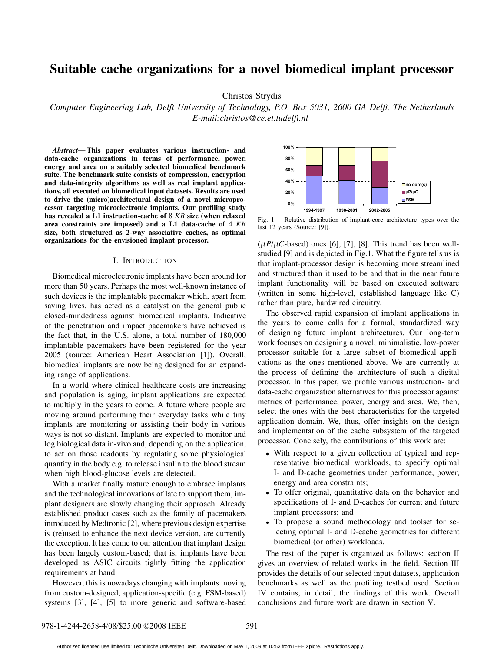# **Suitable cache organizations for a novel biomedical implant processor**

Christos Strydis

*Computer Engineering Lab, Delft University of Technology, P.O. Box 5031, 2600 GA Delft, The Netherlands E-mail:christos@ce.et.tudelft.nl*

*Abstract***— This paper evaluates various instruction- and data-cache organizations in terms of performance, power, energy and area on a suitably selected biomedical benchmark suite. The benchmark suite consists of compression, encryption and data-integrity algorithms as well as real implant applications, all executed on biomedical input datasets. Results are used to drive the (micro)architectural design of a novel microprocessor targeting microelectronic implants. Our profiling study has revealed a L1 instruction-cache of** 8 *KB* **size (when relaxed area constraints are imposed) and a L1 data-cache of** 4 *KB* **size, both structured as 2-way associative caches, as optimal organizations for the envisioned implant processor.**

### I. INTRODUCTION

Biomedical microelectronic implants have been around for more than 50 years. Perhaps the most well-known instance of such devices is the implantable pacemaker which, apart from saving lives, has acted as a catalyst on the general public closed-mindedness against biomedical implants. Indicative of the penetration and impact pacemakers have achieved is the fact that, in the U.S. alone, a total number of 180,000 implantable pacemakers have been registered for the year 2005 (source: American Heart Association [1]). Overall, biomedical implants are now being designed for an expanding range of applications.

In a world where clinical healthcare costs are increasing and population is aging, implant applications are expected to multiply in the years to come. A future where people are moving around performing their everyday tasks while tiny implants are monitoring or assisting their body in various ways is not so distant. Implants are expected to monitor and log biological data in-vivo and, depending on the application, to act on those readouts by regulating some physiological quantity in the body e.g. to release insulin to the blood stream when high blood-glucose levels are detected.

With a market finally mature enough to embrace implants and the technological innovations of late to support them, implant designers are slowly changing their approach. Already established product cases such as the family of pacemakers introduced by Medtronic [2], where previous design expertise is (re)used to enhance the next device version, are currently the exception. It has come to our attention that implant design has been largely custom-based; that is, implants have been developed as ASIC circuits tightly fitting the application requirements at hand.

However, this is nowadays changing with implants moving from custom-designed, application-specific (e.g. FSM-based) systems [3], [4], [5] to more generic and software-based



Fig. 1. Relative distribution of implant-core architecture types over the last 12 years (Source: [9]).

 $(\mu P / \mu C$ -based) ones [6], [7], [8]. This trend has been wellstudied [9] and is depicted in Fig.1. What the figure tells us is that implant-processor design is becoming more streamlined and structured than it used to be and that in the near future implant functionality will be based on executed software (written in some high-level, established language like C) rather than pure, hardwired circuitry.

The observed rapid expansion of implant applications in the years to come calls for a formal, standardized way of designing future implant architectures. Our long-term work focuses on designing a novel, minimalistic, low-power processor suitable for a large subset of biomedical applications as the ones mentioned above. We are currently at the process of defining the architecture of such a digital processor. In this paper, we profile various instruction- and data-cache organization alternatives for this processor against metrics of performance, power, energy and area. We, then, select the ones with the best characteristics for the targeted application domain. We, thus, offer insights on the design and implementation of the cache subsystem of the targeted processor. Concisely, the contributions of this work are:

- With respect to a given collection of typical and representative biomedical workloads, to specify optimal I- and D-cache geometries under performance, power, energy and area constraints;
- To offer original, quantitative data on the behavior and specifications of I- and D-caches for current and future implant processors; and
- To propose a sound methodology and toolset for selecting optimal I- and D-cache geometries for different biomedical (or other) workloads.

The rest of the paper is organized as follows: section II gives an overview of related works in the field. Section III provides the details of our selected input datasets, application benchmarks as well as the profiling testbed used. Section IV contains, in detail, the findings of this work. Overall conclusions and future work are drawn in section V.

Authorized licensed use limited to: Technische Universiteit Delft. Downloaded on May 1, 2009 at 10:53 from IEEE Xplore. Restrictions apply.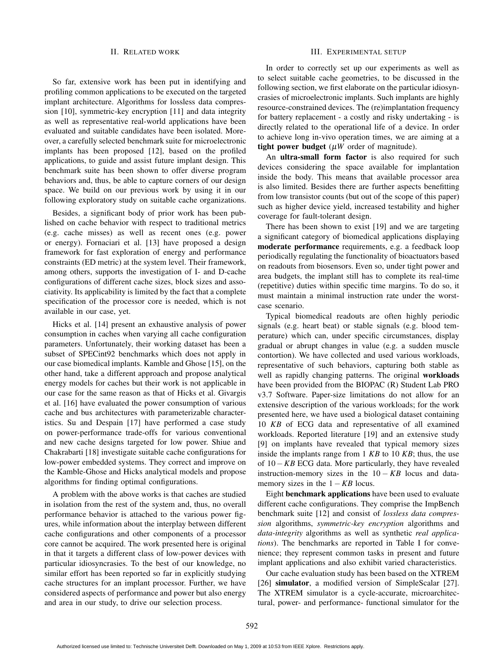## II. RELATED WORK

So far, extensive work has been put in identifying and profiling common applications to be executed on the targeted implant architecture. Algorithms for lossless data compression [10], symmetric-key encryption [11] and data integrity as well as representative real-world applications have been evaluated and suitable candidates have been isolated. Moreover, a carefully selected benchmark suite for microelectronic implants has been proposed [12], based on the profiled applications, to guide and assist future implant design. This benchmark suite has been shown to offer diverse program behaviors and, thus, be able to capture corners of our design space. We build on our previous work by using it in our following exploratory study on suitable cache organizations.

Besides, a significant body of prior work has been published on cache behavior with respect to traditional metrics (e.g. cache misses) as well as recent ones (e.g. power or energy). Fornaciari et al. [13] have proposed a design framework for fast exploration of energy and performance constraints (ED metric) at the system level. Their framework, among others, supports the investigation of I- and D-cache configurations of different cache sizes, block sizes and associativity. Its applicability is limited by the fact that a complete specification of the processor core is needed, which is not available in our case, yet.

Hicks et al. [14] present an exhaustive analysis of power consumption in caches when varying all cache configuration parameters. Unfortunately, their working dataset has been a subset of SPECint92 benchmarks which does not apply in our case biomedical implants. Kamble and Ghose [15], on the other hand, take a different approach and propose analytical energy models for caches but their work is not applicable in our case for the same reason as that of Hicks et al. Givargis et al. [16] have evaluated the power consumption of various cache and bus architectures with parameterizable characteristics. Su and Despain [17] have performed a case study on power-performance trade-offs for various conventional and new cache designs targeted for low power. Shiue and Chakrabarti [18] investigate suitable cache configurations for low-power embedded systems. They correct and improve on the Kamble-Ghose and Hicks analytical models and propose algorithms for finding optimal configurations.

A problem with the above works is that caches are studied in isolation from the rest of the system and, thus, no overall performance behavior is attached to the various power figures, while information about the interplay between different cache configurations and other components of a processor core cannot be acquired. The work presented here is original in that it targets a different class of low-power devices with particular idiosyncrasies. To the best of our knowledge, no similar effort has been reported so far in explicitly studying cache structures for an implant processor. Further, we have considered aspects of performance and power but also energy and area in our study, to drive our selection process.

## III. EXPERIMENTAL SETUP

In order to correctly set up our experiments as well as to select suitable cache geometries, to be discussed in the following section, we first elaborate on the particular idiosyncrasies of microelectronic implants. Such implants are highly resource-constrained devices. The (re)implantation frequency for battery replacement - a costly and risky undertaking - is directly related to the operational life of a device. In order to achieve long in-vivo operation times, we are aiming at a **tight power budget** ( $\mu$ *W* order of magnitude).

An **ultra-small form factor** is also required for such devices considering the space available for implantation inside the body. This means that available processor area is also limited. Besides there are further aspects benefitting from low transistor counts (but out of the scope of this paper) such as higher device yield, increased testability and higher coverage for fault-tolerant design.

There has been shown to exist [19] and we are targeting a significant category of biomedical applications displaying **moderate performance** requirements, e.g. a feedback loop periodically regulating the functionality of bioactuators based on readouts from biosensors. Even so, under tight power and area budgets, the implant still has to complete its real-time (repetitive) duties within specific time margins. To do so, it must maintain a minimal instruction rate under the worstcase scenario.

Typical biomedical readouts are often highly periodic signals (e.g. heart beat) or stable signals (e.g. blood temperature) which can, under specific circumstances, display gradual or abrupt changes in value (e.g. a sudden muscle contortion). We have collected and used various workloads, representative of such behaviors, capturing both stable as well as rapidly changing patterns. The original **workloads** have been provided from the BIOPAC (R) Student Lab PRO v3.7 Software. Paper-size limitations do not allow for an extensive description of the various workloads; for the work presented here, we have used a biological dataset containing 10 *KB* of ECG data and representative of all examined workloads. Reported literature [19] and an extensive study [9] on implants have revealed that typical memory sizes inside the implants range from 1 *KB* to 10 *KB*; thus, the use of 10−*KB* ECG data. More particularly, they have revealed instruction-memory sizes in the  $10 - KB$  locus and datamemory sizes in the 1−*KB* locus.

Eight **benchmark applications** have been used to evaluate different cache configurations. They comprise the ImpBench benchmark suite [12] and consist of *lossless data compression* algorithms, *symmetric-key encryption* algorithms and *data-integrity* algorithms as well as synthetic *real applications*). The benchmarks are reported in Table I for convenience; they represent common tasks in present and future implant applications and also exhibit varied characteristics.

Our cache evaluation study has been based on the XTREM [26] **simulator**, a modified version of SimpleScalar [27]. The XTREM simulator is a cycle-accurate, microarchitectural, power- and performance- functional simulator for the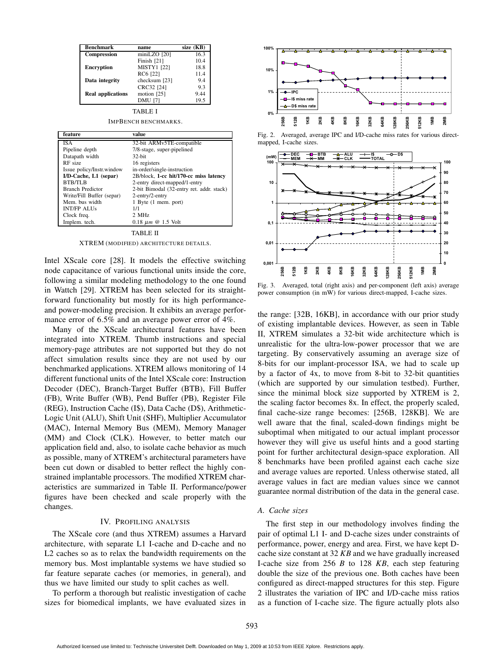| <b>Benchmark</b>         | name               | size (KB) |
|--------------------------|--------------------|-----------|
| <b>Compression</b>       | miniLZO [20]       | 16.3      |
|                          | Finish [21]        | 10.4      |
| <b>Encryption</b>        | <b>MISTY1</b> [22] | 18.8      |
|                          | RC6 [22]           | 11.4      |
| Data integrity           | checksum [23]      | 9.4       |
|                          | CRC32 [24]         | 9.3       |
| <b>Real applications</b> | motion $[25]$      | 9.44      |
|                          | <b>DMU [7]</b>     | 19.5      |

TABLE I

| feature                   | value                                     |
|---------------------------|-------------------------------------------|
| <b>ISA</b>                | 32-bit ARMv5TE-compatible                 |
| Pipeline depth            | 7/8-stage, super-pipelined                |
| Datapath width            | $32$ -bit                                 |
| RF size                   | 16 registers                              |
| Issue policy/Instr.window | in-order/single-instruction               |
| $I/D$ -Cache, L1 (separ)  | 2B/block, 1-cc hit/170-cc miss latency    |
| <b>BTB/TLB</b>            | 2-entry direct-mapped/1-entry             |
| <b>Branch Predictor</b>   | 2-bit Bimodal (32-entry ret. addr. stack) |
| Write/Fill Buffer (separ) | 2-entry/2-entry                           |
| Mem. bus width            | 1 Byte (1 mem. port)                      |
| <b>INT/FP ALUs</b>        | 1/1                                       |
| Clock freq.               | $2$ MHz                                   |
| Implem. tech.             | 0.18 $\mu$ m @ 1.5 Volt                   |
|                           |                                           |

TABLE II

XTREM (MODIFIED) ARCHITECTURE DETAILS.

Intel XScale core [28]. It models the effective switching node capacitance of various functional units inside the core, following a similar modeling methodology to the one found in Wattch [29]. XTREM has been selected for its straightforward functionality but mostly for its high performanceand power-modeling precision. It exhibits an average performance error of 6.5% and an average power error of 4%.

Many of the XScale architectural features have been integrated into XTREM. Thumb instructions and special memory-page attributes are not supported but they do not affect simulation results since they are not used by our benchmarked applications. XTREM allows monitoring of 14 different functional units of the Intel XScale core: Instruction Decoder (DEC), Branch-Target Buffer (BTB), Fill Buffer (FB), Write Buffer (WB), Pend Buffer (PB), Register File (REG), Instruction Cache (I\$), Data Cache (D\$), Arithmetic-Logic Unit (ALU), Shift Unit (SHF), Multiplier Accumulator (MAC), Internal Memory Bus (MEM), Memory Manager (MM) and Clock (CLK). However, to better match our application field and, also, to isolate cache behavior as much as possible, many of XTREM's architectural parameters have been cut down or disabled to better reflect the highly constrained implantable processors. The modified XTREM characteristics are summarized in Table II. Performance/power figures have been checked and scale properly with the changes.

# IV. PROFILING ANALYSIS

The XScale core (and thus XTREM) assumes a Harvard architecture, with separate L1 I-cache and D-cache and no L2 caches so as to relax the bandwidth requirements on the memory bus. Most implantable systems we have studied so far feature separate caches (or memories, in general), and thus we have limited our study to split caches as well.

To perform a thorough but realistic investigation of cache sizes for biomedical implants, we have evaluated sizes in



Fig. 2. Averaged, average IPC and I/D-cache miss rates for various directmapped, I-cache sizes.



Fig. 3. Averaged, total (right axis) and per-component (left axis) average power consumption (in mW) for various direct-mapped, I-cache sizes.

the range: [32B, 16KB], in accordance with our prior study of existing implantable devices. However, as seen in Table II, XTREM simulates a 32-bit wide architecture which is unrealistic for the ultra-low-power processor that we are targeting. By conservatively assuming an average size of 8-bits for our implant-processor ISA, we had to scale up by a factor of 4x, to move from 8-bit to 32-bit quantities (which are supported by our simulation testbed). Further, since the minimal block size supported by XTREM is 2, the scaling factor becomes 8x. In effect, the properly scaled, final cache-size range becomes: [256B, 128KB]. We are well aware that the final, scaled-down findings might be suboptimal when mitigated to our actual implant processor however they will give us useful hints and a good starting point for further architectural design-space exploration. All 8 benchmarks have been profiled against each cache size and average values are reported. Unless otherwise stated, all average values in fact are median values since we cannot guarantee normal distribution of the data in the general case.

# *A. Cache sizes*

The first step in our methodology involves finding the pair of optimal L1 I- and D-cache sizes under constraints of performance, power, energy and area. First, we have kept Dcache size constant at 32 *KB* and we have gradually increased I-cache size from 256 *B* to 128 *KB*, each step featuring double the size of the previous one. Both caches have been configured as direct-mapped structures for this step. Figure 2 illustrates the variation of IPC and I/D-cache miss ratios as a function of I-cache size. The figure actually plots also

Authorized licensed use limited to: Technische Universiteit Delft. Downloaded on May 1, 2009 at 10:53 from IEEE Xplore. Restrictions apply.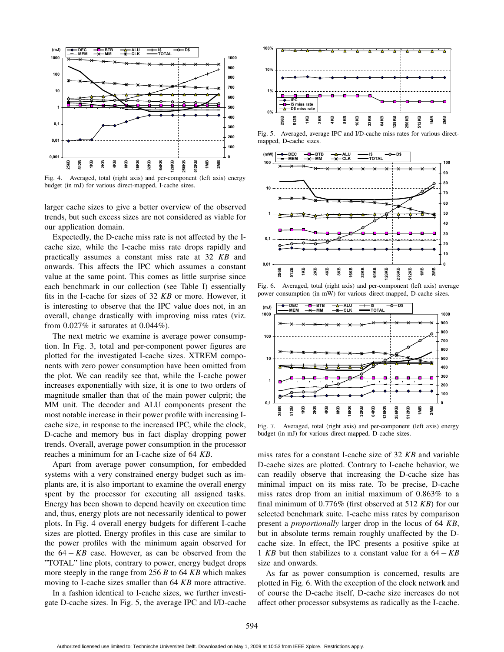

Fig. 4. Averaged, total (right axis) and per-component (left axis) energy budget (in mJ) for various direct-mapped, I-cache sizes.

larger cache sizes to give a better overview of the observed trends, but such excess sizes are not considered as viable for our application domain.

Expectedly, the D-cache miss rate is not affected by the Icache size, while the I-cache miss rate drops rapidly and practically assumes a constant miss rate at 32 *KB* and onwards. This affects the IPC which assumes a constant value at the same point. This comes as little surprise since each benchmark in our collection (see Table I) essentially fits in the I-cache for sizes of 32 *KB* or more. However, it is interesting to observe that the IPC value does not, in an overall, change drastically with improving miss rates (viz. from 0.027% it saturates at 0.044%).

The next metric we examine is average power consumption. In Fig. 3, total and per-component power figures are plotted for the investigated I-cache sizes. XTREM components with zero power consumption have been omitted from the plot. We can readily see that, while the I-cache power increases exponentially with size, it is one to two orders of magnitude smaller than that of the main power culprit; the MM unit. The decoder and ALU components present the most notable increase in their power profile with increasing Icache size, in response to the increased IPC, while the clock, D-cache and memory bus in fact display dropping power trends. Overall, average power consumption in the processor reaches a minimum for an I-cache size of 64 *KB*.

Apart from average power consumption, for embedded systems with a very constrained energy budget such as implants are, it is also important to examine the overall energy spent by the processor for executing all assigned tasks. Energy has been shown to depend heavily on execution time and, thus, energy plots are not necessarily identical to power plots. In Fig. 4 overall energy budgets for different I-cache sizes are plotted. Energy profiles in this case are similar to the power profiles with the minimum again observed for the 64 − *KB* case. However, as can be observed from the "TOTAL" line plots, contrary to power, energy budget drops more steeply in the range from 256 *B* to 64 *KB* which makes moving to I-cache sizes smaller than 64 *KB* more attractive.

In a fashion identical to I-cache sizes, we further investigate D-cache sizes. In Fig. 5, the average IPC and I/D-cache



Fig. 5. Averaged, average IPC and I/D-cache miss rates for various directmapped, D-cache sizes.



Fig. 6. Averaged, total (right axis) and per-component (left axis) average power consumption (in mW) for various direct-mapped, D-cache sizes.



Fig. 7. Averaged, total (right axis) and per-component (left axis) energy budget (in mJ) for various direct-mapped, D-cache sizes.

miss rates for a constant I-cache size of 32 *KB* and variable D-cache sizes are plotted. Contrary to I-cache behavior, we can readily observe that increasing the D-cache size has minimal impact on its miss rate. To be precise, D-cache miss rates drop from an initial maximum of 0.863% to a final minimum of 0.776% (first observed at 512 *KB*) for our selected benchmark suite. I-cache miss rates by comparison present a *proportionally* larger drop in the locus of 64 *KB*, but in absolute terms remain roughly unaffected by the Dcache size. In effect, the IPC presents a positive spike at 1 *KB* but then stabilizes to a constant value for a 64 − *KB* size and onwards.

As far as power consumption is concerned, results are plotted in Fig. 6. With the exception of the clock network and of course the D-cache itself, D-cache size increases do not affect other processor subsystems as radically as the I-cache.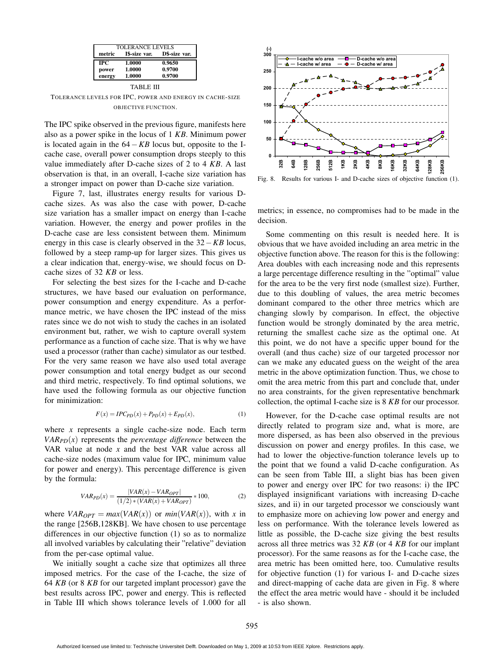| <b>TOLERANCE LEVELS</b> |               |               |
|-------------------------|---------------|---------------|
| metric                  | I\$-size var. | D\$-size var. |
| <b>TPC</b>              | 1.0000        | 0.9650        |
| power                   | 1.0000        | 0.9700        |
| energy                  | 1.0000        | 0.9700        |

TABLE III TOLERANCE LEVELS FOR IPC, POWER AND ENERGY IN CACHE-SIZE OBJECTIVE FUNCTION.

The IPC spike observed in the previous figure, manifests here also as a power spike in the locus of 1 *KB*. Minimum power is located again in the 64−*KB* locus but, opposite to the Icache case, overall power consumption drops steeply to this value immediately after D-cache sizes of 2 to 4 *KB*. A last observation is that, in an overall, I-cache size variation has a stronger impact on power than D-cache size variation.

Figure 7, last, illustrates energy results for various Dcache sizes. As was also the case with power, D-cache size variation has a smaller impact on energy than I-cache variation. However, the energy and power profiles in the D-cache case are less consistent between them. Minimum energy in this case is clearly observed in the 32−*KB* locus, followed by a steep ramp-up for larger sizes. This gives us a clear indication that, energy-wise, we should focus on Dcache sizes of 32 *KB* or less.

For selecting the best sizes for the I-cache and D-cache structures, we have based our evaluation on performance, power consumption and energy expenditure. As a performance metric, we have chosen the IPC instead of the miss rates since we do not wish to study the caches in an isolated environment but, rather, we wish to capture overall system performance as a function of cache size. That is why we have used a processor (rather than cache) simulator as our testbed. For the very same reason we have also used total average power consumption and total energy budget as our second and third metric, respectively. To find optimal solutions, we have used the following formula as our objective function for minimization:

$$
F(x) = IPC_{PD}(x) + P_{PD}(x) + E_{PD}(x),
$$
\n<sup>(1)</sup>

where *x* represents a single cache-size node. Each term  $VAR_{PD}(x)$  represents the *percentage difference* between the VAR value at node *x* and the best VAR value across all cache-size nodes (maximum value for IPC, minimum value for power and energy). This percentage difference is given by the formula:

$$
VAR_{PD}(x) = \frac{|VAR(x) - VAR_{OPT}|}{(1/2) * (VAR(x) + VAR_{OPT})} * 100,
$$
 (2)

where  $VAR_{OPT} = max(VAR(x))$  or  $min(VAR(x))$ , with *x* in the range [256B,128KB]. We have chosen to use percentage differences in our objective function (1) so as to normalize all involved variables by calculating their "relative" deviation from the per-case optimal value.

We initially sought a cache size that optimizes all three imposed metrics. For the case of the I-cache, the size of 64 *KB* (or 8 *KB* for our targeted implant processor) gave the best results across IPC, power and energy. This is reflected in Table III which shows tolerance levels of 1.000 for all



Fig. 8. Results for various I- and D-cache sizes of objective function (1).

metrics; in essence, no compromises had to be made in the decision.

Some commenting on this result is needed here. It is obvious that we have avoided including an area metric in the objective function above. The reason for this is the following: Area doubles with each increasing node and this represents a large percentage difference resulting in the "optimal" value for the area to be the very first node (smallest size). Further, due to this doubling of values, the area metric becomes dominant compared to the other three metrics which are changing slowly by comparison. In effect, the objective function would be strongly dominated by the area metric, returning the smallest cache size as the optimal one. At this point, we do not have a specific upper bound for the overall (and thus cache) size of our targeted processor nor can we make any educated guess on the weight of the area metric in the above optimization function. Thus, we chose to omit the area metric from this part and conclude that, under no area constraints, for the given representative benchmark collection, the optimal I-cache size is 8 *KB* for our processor.

However, for the D-cache case optimal results are not directly related to program size and, what is more, are more dispersed, as has been also observed in the previous discussion on power and energy profiles. In this case, we had to lower the objective-function tolerance levels up to the point that we found a valid D-cache configuration. As can be seen from Table III, a slight bias has been given to power and energy over IPC for two reasons: i) the IPC displayed insignificant variations with increasing D-cache sizes, and ii) in our targeted processor we consciously want to emphasize more on achieving low power and energy and less on performance. With the tolerance levels lowered as little as possible, the D-cache size giving the best results across all three metrics was 32 *KB* (or 4 *KB* for our implant processor). For the same reasons as for the I-cache case, the area metric has been omitted here, too. Cumulative results for objective function (1) for various I- and D-cache sizes and direct-mapping of cache data are given in Fig. 8 where the effect the area metric would have - should it be included - is also shown.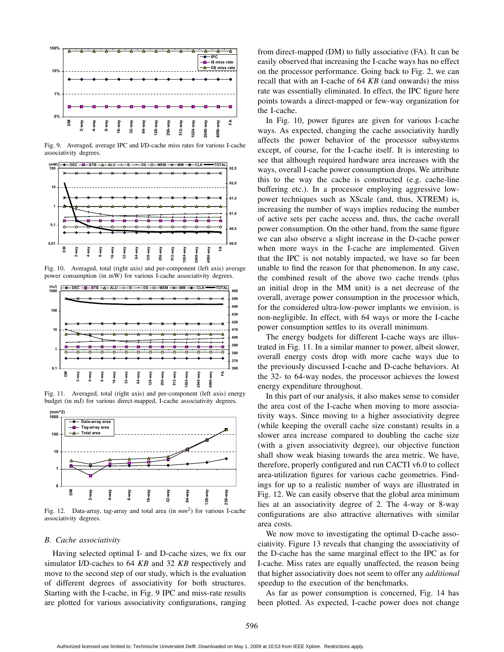

Fig. 9. Averaged, average IPC and I/D-cache miss rates for various I-cache associativity degrees.



Fig. 10. Averaged, total (right axis) and per-component (left axis) average power consumption (in mW) for various I-cache associativity degrees.



Fig. 11. Averaged, total (right axis) and per-component (left axis) energy budget (in mJ) for various direct-mapped, I-cache associativity degrees.



Fig. 12. Data-array, tag-array and total area (in *mm*<sup>2</sup> ) for various I-cache associativity degrees.

#### *B. Cache associativity*

Having selected optimal I- and D-cache sizes, we fix our simulator I/D-caches to 64 *KB* and 32 *KB* respectively and move to the second step of our study, which is the evaluation of different degrees of associativity for both structures. Starting with the I-cache, in Fig. 9 IPC and miss-rate results are plotted for various associativity configurations, ranging from direct-mapped (DM) to fully associative (FA). It can be easily observed that increasing the I-cache ways has no effect on the processor performance. Going back to Fig. 2, we can recall that with an I-cache of 64 *KB* (and onwards) the miss rate was essentially eliminated. In effect, the IPC figure here points towards a direct-mapped or few-way organization for the I-cache.

In Fig. 10, power figures are given for various I-cache ways. As expected, changing the cache associativity hardly affects the power behavior of the processor subsystems except, of course, for the I-cache itself. It is interesting to see that although required hardware area increases with the ways, overall I-cache power consumption drops. We attribute this to the way the cache is constructed (e.g. cache-line buffering etc.). In a processor employing aggressive lowpower techniques such as XScale (and, thus, XTREM) is, increasing the number of ways implies reducing the number of active sets per cache access and, thus, the cache overall power consumption. On the other hand, from the same figure we can also observe a slight increase in the D-cache power when more ways in the I-cache are implemented. Given that the IPC is not notably impacted, we have so far been unable to find the reason for that phenomenon. In any case, the combined result of the above two cache trends (plus an initial drop in the MM unit) is a net decrease of the overall, average power consumption in the processor which, for the considered ultra-low-power implants we envision, is non-negligible. In effect, with 64 ways or more the I-cache power consumption settles to its overall minimum.

The energy budgets for different I-cache ways are illustrated in Fig. 11. In a similar manner to power, albeit slower, overall energy costs drop with more cache ways due to the previously discussed I-cache and D-cache behaviors. At the 32- to 64-way nodes, the processor achieves the lowest energy expenditure throughout.

In this part of our analysis, it also makes sense to consider the area cost of the I-cache when moving to more associativity ways. Since moving to a higher associativity degree (while keeping the overall cache size constant) results in a slower area increase compared to doubling the cache size (with a given associativity degree), our objective function shall show weak biasing towards the area metric. We have, therefore, properly configured and run CACTI v6.0 to collect area-utilization figures for various cache geometries. Findings for up to a realistic number of ways are illustrated in Fig. 12. We can easily observe that the global area minimum lies at an associativity degree of 2. The 4-way or 8-way configurations are also attractive alternatives with similar area costs.

We now move to investigating the optimal D-cache associativity. Figure 13 reveals that changing the associativity of the D-cache has the same marginal effect to the IPC as for I-cache. Miss rates are equally unaffected, the reason being that higher associativity does not seem to offer any *additional* speedup to the execution of the benchmarks.

As far as power consumption is concerned, Fig. 14 has been plotted. As expected, I-cache power does not change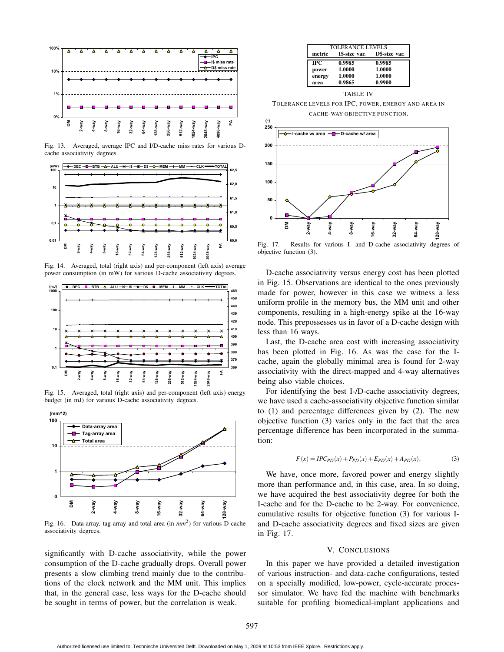

Fig. 13. Averaged, average IPC and I/D-cache miss rates for various Dcache associativity degrees.



Fig. 14. Averaged, total (right axis) and per-component (left axis) average power consumption (in mW) for various D-cache associativity degrees.



Fig. 15. Averaged, total (right axis) and per-component (left axis) energy budget (in mJ) for various D-cache associativity degrees.



Fig. 16. Data-array, tag-array and total area (in  $mm^2$ ) for various D-cache associativity degrees.

significantly with D-cache associativity, while the power consumption of the D-cache gradually drops. Overall power presents a slow climbing trend mainly due to the contributions of the clock network and the MM unit. This implies that, in the general case, less ways for the D-cache should be sought in terms of power, but the correlation is weak.

| TOLERANCE LEVELS |               |               |  |
|------------------|---------------|---------------|--|
| metric           | I\$-size var. | D\$-size var. |  |
| <b>TPC</b>       | 0.9985        | 0.9985        |  |
| power            | 1.0000        | 1.0000        |  |
| energy           | 1.0000        | 1.0000        |  |
| area             | 0.9865        | 0.9900        |  |

TABLE IV

TOLERANCE LEVELS FOR IPC, POWER, ENERGY AND AREA IN CACHE-WAY OBJECTIVE FUNCTION.



Fig. 17. Results for various I- and D-cache associativity degrees of objective function (3).

D-cache associativity versus energy cost has been plotted in Fig. 15. Observations are identical to the ones previously made for power, however in this case we witness a less uniform profile in the memory bus, the MM unit and other components, resulting in a high-energy spike at the 16-way node. This prepossesses us in favor of a D-cache design with less than 16 ways.

Last, the D-cache area cost with increasing associativity has been plotted in Fig. 16. As was the case for the Icache, again the globally minimal area is found for 2-way associativity with the direct-mapped and 4-way alternatives being also viable choices.

For identifying the best I-/D-cache associativity degrees, we have used a cache-associativity objective function similar to (1) and percentage differences given by (2). The new objective function (3) varies only in the fact that the area percentage difference has been incorporated in the summation:

$$
F(x) = IPC_{PD}(x) + P_{PD}(x) + E_{PD}(x) + A_{PD}(x),
$$
\n(3)

We have, once more, favored power and energy slightly more than performance and, in this case, area. In so doing, we have acquired the best associativity degree for both the I-cache and for the D-cache to be 2-way. For convenience, cumulative results for objective function (3) for various Iand D-cache associativity degrees and fixed sizes are given in Fig. 17.

### V. CONCLUSIONS

In this paper we have provided a detailed investigation of various instruction- and data-cache configurations, tested on a specially modified, low-power, cycle-accurate processor simulator. We have fed the machine with benchmarks suitable for profiling biomedical-implant applications and